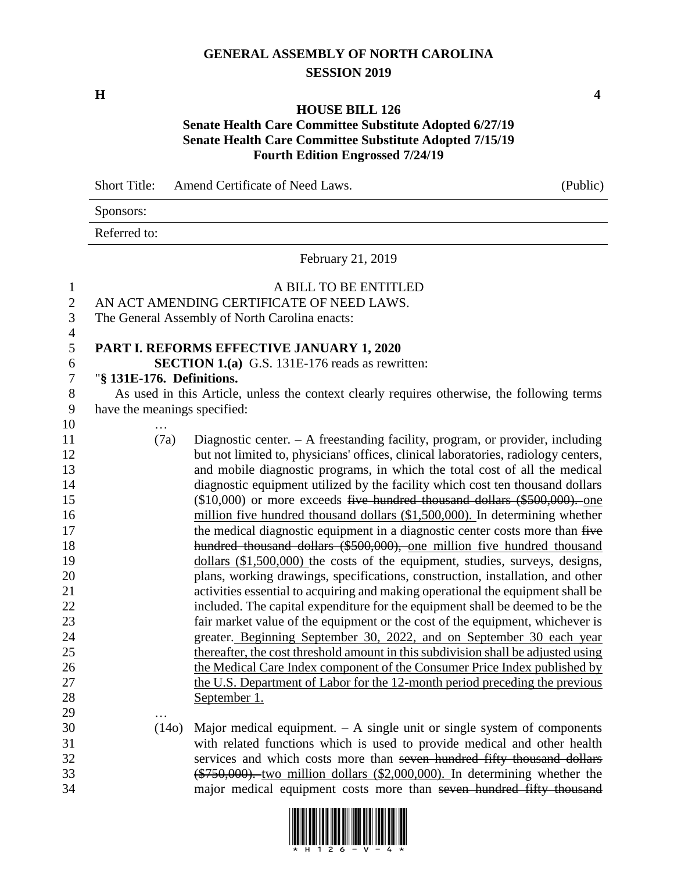## **GENERAL ASSEMBLY OF NORTH CAROLINA SESSION 2019**

**H 4**

## **HOUSE BILL 126**

## **Senate Health Care Committee Substitute Adopted 6/27/19 Senate Health Care Committee Substitute Adopted 7/15/19 Fourth Edition Engrossed 7/24/19**

|    | <b>Short Title:</b><br><b>Amend Certificate of Need Laws.</b><br>(Public)                   |  |
|----|---------------------------------------------------------------------------------------------|--|
|    | Sponsors:                                                                                   |  |
|    | Referred to:                                                                                |  |
|    | February 21, 2019                                                                           |  |
|    | A BILL TO BE ENTITLED                                                                       |  |
|    | AN ACT AMENDING CERTIFICATE OF NEED LAWS.                                                   |  |
| 3  | The General Assembly of North Carolina enacts:                                              |  |
| 4  |                                                                                             |  |
| 5  | <b>PART I. REFORMS EFFECTIVE JANUARY 1, 2020</b>                                            |  |
| 6  | <b>SECTION 1.(a)</b> G.S. 131E-176 reads as rewritten:                                      |  |
|    | "§ 131E-176. Definitions.                                                                   |  |
| 8  | As used in this Article, unless the context clearly requires otherwise, the following terms |  |
| 9  | have the meanings specified:                                                                |  |
| 10 | .                                                                                           |  |
| 11 | Diagnostic center. $- A$ freestanding facility, program, or provider, including<br>(7a)     |  |
| 12 | but not limited to physicians' offices clinical laboratories radiology centers              |  |

| 10 | .                 |                                                                                    |
|----|-------------------|------------------------------------------------------------------------------------|
| 11 | (7a)              | Diagnostic center. $- A$ freestanding facility, program, or provider, including    |
| 12 |                   | but not limited to, physicians' offices, clinical laboratories, radiology centers, |
| 13 |                   | and mobile diagnostic programs, in which the total cost of all the medical         |
| 14 |                   | diagnostic equipment utilized by the facility which cost ten thousand dollars      |
| 15 |                   | $($10,000)$ or more exceeds five hundred thousand dollars $($500,000)$ . one       |
| 16 |                   | million five hundred thousand dollars (\$1,500,000). In determining whether        |
| 17 |                   | the medical diagnostic equipment in a diagnostic center costs more than five       |
| 18 |                   | hundred thousand dollars (\$500,000), one million five hundred thousand            |
| 19 |                   | dollars $(\$1,500,000)$ the costs of the equipment, studies, surveys, designs,     |
| 20 |                   | plans, working drawings, specifications, construction, installation, and other     |
| 21 |                   | activities essential to acquiring and making operational the equipment shall be    |
| 22 |                   | included. The capital expenditure for the equipment shall be deemed to be the      |
| 23 |                   | fair market value of the equipment or the cost of the equipment, whichever is      |
| 24 |                   | greater. Beginning September 30, 2022, and on September 30 each year               |
| 25 |                   | thereafter, the cost threshold amount in this subdivision shall be adjusted using  |
| 26 |                   | the Medical Care Index component of the Consumer Price Index published by          |
| 27 |                   | the U.S. Department of Labor for the 12-month period preceding the previous        |
| 28 |                   | September 1.                                                                       |
| 29 | $\cdot\cdot\cdot$ |                                                                                    |

 (14o) Major medical equipment. – A single unit or single system of components with related functions which is used to provide medical and other health services and which costs more than seven hundred fifty thousand dollars (\$750,000). two million dollars (\$2,000,000). In determining whether the major medical equipment costs more than seven hundred fifty thousand

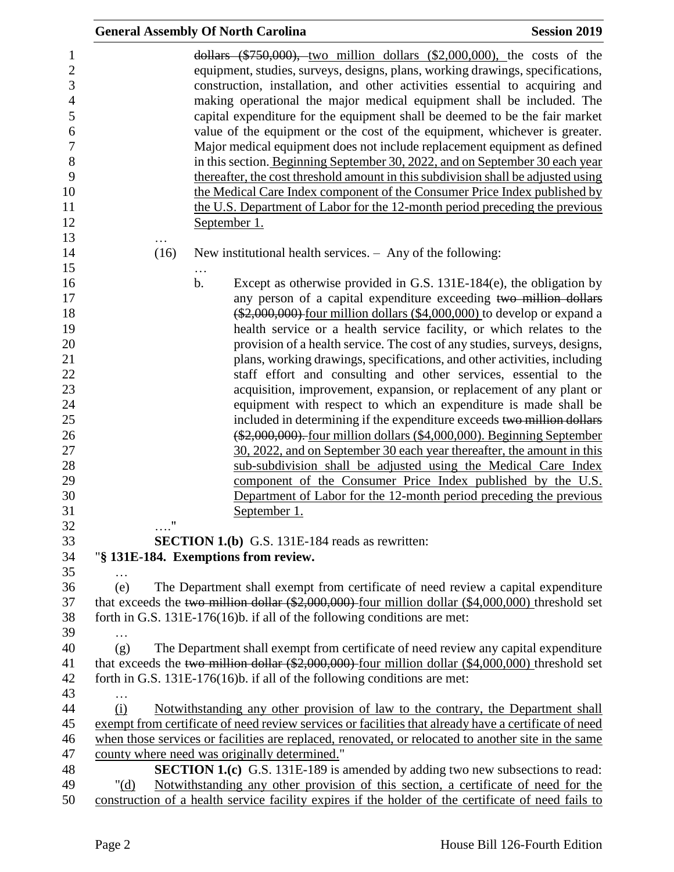|            | <b>General Assembly Of North Carolina</b>                                                                                                                                                                                                                                                                                                                                                                                                                                                                                                                                                                                                                                                                                                                                                                                                                                                                                                                                                                                                                                                                                                  | <b>Session 2019</b> |
|------------|--------------------------------------------------------------------------------------------------------------------------------------------------------------------------------------------------------------------------------------------------------------------------------------------------------------------------------------------------------------------------------------------------------------------------------------------------------------------------------------------------------------------------------------------------------------------------------------------------------------------------------------------------------------------------------------------------------------------------------------------------------------------------------------------------------------------------------------------------------------------------------------------------------------------------------------------------------------------------------------------------------------------------------------------------------------------------------------------------------------------------------------------|---------------------|
|            | dollars $(*750,000)$ , two million dollars $(*2,000,000)$ , the costs of the<br>equipment, studies, surveys, designs, plans, working drawings, specifications,<br>construction, installation, and other activities essential to acquiring and<br>making operational the major medical equipment shall be included. The<br>capital expenditure for the equipment shall be deemed to be the fair market<br>value of the equipment or the cost of the equipment, whichever is greater.<br>Major medical equipment does not include replacement equipment as defined<br>in this section. Beginning September 30, 2022, and on September 30 each year<br>thereafter, the cost threshold amount in this subdivision shall be adjusted using<br>the Medical Care Index component of the Consumer Price Index published by<br>the U.S. Department of Labor for the 12-month period preceding the previous<br>September 1.                                                                                                                                                                                                                          |                     |
| (16)       | New institutional health services. - Any of the following:                                                                                                                                                                                                                                                                                                                                                                                                                                                                                                                                                                                                                                                                                                                                                                                                                                                                                                                                                                                                                                                                                 |                     |
| $\ldots$ " | Except as otherwise provided in G.S. 131E-184(e), the obligation by<br>$\mathbf b$ .<br>any person of a capital expenditure exceeding two million dollars<br>$(*2,000,000)$ four million dollars $(*4,000,000)$ to develop or expand a<br>health service or a health service facility, or which relates to the<br>provision of a health service. The cost of any studies, surveys, designs,<br>plans, working drawings, specifications, and other activities, including<br>staff effort and consulting and other services, essential to the<br>acquisition, improvement, expansion, or replacement of any plant or<br>equipment with respect to which an expenditure is made shall be<br>included in determining if the expenditure exceeds two million dollars<br>(\$2,000,000). four million dollars (\$4,000,000). Beginning September<br>30, 2022, and on September 30 each year thereafter, the amount in this<br>sub-subdivision shall be adjusted using the Medical Care Index<br>component of the Consumer Price Index published by the U.S.<br>Department of Labor for the 12-month period preceding the previous<br>September 1. |                     |
|            | <b>SECTION 1.(b)</b> G.S. 131E-184 reads as rewritten:<br>"§ 131E-184. Exemptions from review.                                                                                                                                                                                                                                                                                                                                                                                                                                                                                                                                                                                                                                                                                                                                                                                                                                                                                                                                                                                                                                             |                     |
| .<br>(e)   | The Department shall exempt from certificate of need review a capital expenditure<br>that exceeds the two million dollar (\$2,000,000) four million dollar (\$4,000,000) threshold set<br>forth in G.S. 131E-176(16)b. if all of the following conditions are met:                                                                                                                                                                                                                                                                                                                                                                                                                                                                                                                                                                                                                                                                                                                                                                                                                                                                         |                     |
| (g)        | The Department shall exempt from certificate of need review any capital expenditure<br>that exceeds the two million dollar $(\$2,000,000)$ four million dollar $(\$4,000,000)$ threshold set<br>forth in G.S. 131E-176(16)b. if all of the following conditions are met:                                                                                                                                                                                                                                                                                                                                                                                                                                                                                                                                                                                                                                                                                                                                                                                                                                                                   |                     |
| (i)        | Notwithstanding any other provision of law to the contrary, the Department shall<br>exempt from certificate of need review services or facilities that already have a certificate of need                                                                                                                                                                                                                                                                                                                                                                                                                                                                                                                                                                                                                                                                                                                                                                                                                                                                                                                                                  |                     |
|            | when those services or facilities are replaced, renovated, or relocated to another site in the same                                                                                                                                                                                                                                                                                                                                                                                                                                                                                                                                                                                                                                                                                                                                                                                                                                                                                                                                                                                                                                        |                     |
| " $(d)$    | county where need was originally determined."<br>SECTION 1.(c) G.S. 131E-189 is amended by adding two new subsections to read:<br>Notwithstanding any other provision of this section, a certificate of need for the                                                                                                                                                                                                                                                                                                                                                                                                                                                                                                                                                                                                                                                                                                                                                                                                                                                                                                                       |                     |
|            | construction of a health service facility expires if the holder of the certificate of need fails to                                                                                                                                                                                                                                                                                                                                                                                                                                                                                                                                                                                                                                                                                                                                                                                                                                                                                                                                                                                                                                        |                     |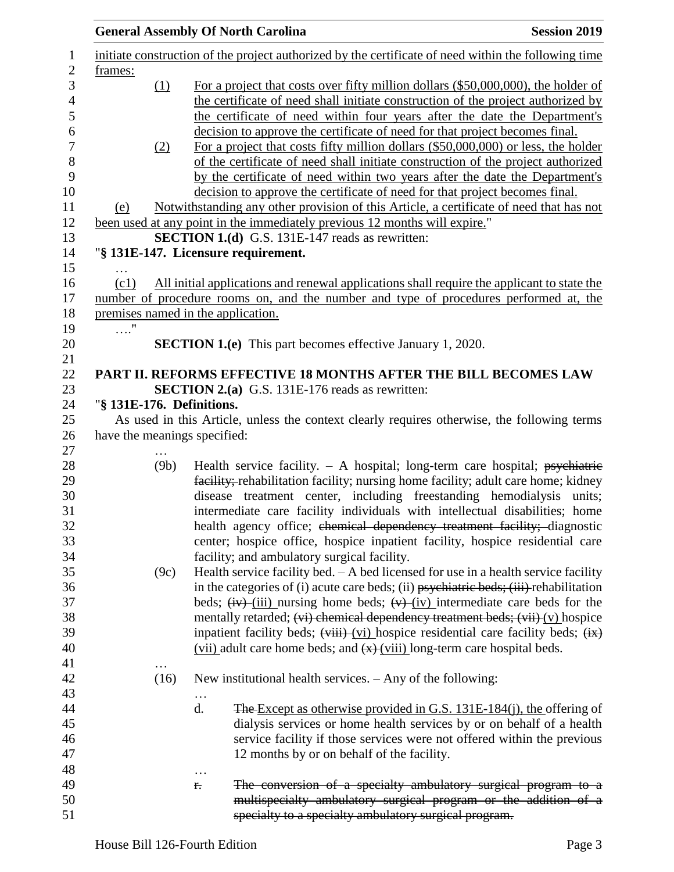|                                      |      | <b>General Assembly Of North Carolina</b>                                                                                                                                                                                                                                                                                           | <b>Session 2019</b> |
|--------------------------------------|------|-------------------------------------------------------------------------------------------------------------------------------------------------------------------------------------------------------------------------------------------------------------------------------------------------------------------------------------|---------------------|
| frames:                              |      | initiate construction of the project authorized by the certificate of need within the following time                                                                                                                                                                                                                                |                     |
|                                      | (1)  | For a project that costs over fifty million dollars (\$50,000,000), the holder of<br>the certificate of need shall initiate construction of the project authorized by<br>the certificate of need within four years after the date the Department's                                                                                  |                     |
|                                      | (2)  | decision to approve the certificate of need for that project becomes final.<br>For a project that costs fifty million dollars (\$50,000,000) or less, the holder<br>of the certificate of need shall initiate construction of the project authorized<br>by the certificate of need within two years after the date the Department's |                     |
| (e)                                  |      | decision to approve the certificate of need for that project becomes final.<br>Notwithstanding any other provision of this Article, a certificate of need that has not<br>been used at any point in the immediately previous 12 months will expire."                                                                                |                     |
|                                      |      | <b>SECTION 1.(d)</b> G.S. 131E-147 reads as rewritten:                                                                                                                                                                                                                                                                              |                     |
|                                      |      | "§ 131E-147. Licensure requirement.                                                                                                                                                                                                                                                                                                 |                     |
| .<br>(c1)                            |      | All initial applications and renewal applications shall require the applicant to state the<br>number of procedure rooms on, and the number and type of procedures performed at, the                                                                                                                                                 |                     |
|                                      |      | premises named in the application.                                                                                                                                                                                                                                                                                                  |                     |
| $\ldots \overset{\shortparallel}{.}$ |      | <b>SECTION 1.(e)</b> This part becomes effective January 1, 2020.                                                                                                                                                                                                                                                                   |                     |
|                                      |      | PART II. REFORMS EFFECTIVE 18 MONTHS AFTER THE BILL BECOMES LAW                                                                                                                                                                                                                                                                     |                     |
|                                      |      | <b>SECTION 2.(a)</b> G.S. 131E-176 reads as rewritten:                                                                                                                                                                                                                                                                              |                     |
|                                      |      | "§ 131E-176. Definitions.                                                                                                                                                                                                                                                                                                           |                     |
|                                      |      | As used in this Article, unless the context clearly requires otherwise, the following terms                                                                                                                                                                                                                                         |                     |
|                                      |      | have the meanings specified:                                                                                                                                                                                                                                                                                                        |                     |
|                                      | (9b) | Health service facility. $- A$ hospital; long-term care hospital; psychiatric<br>facility; rehabilitation facility; nursing home facility; adult care home; kidney                                                                                                                                                                  |                     |
|                                      |      | disease treatment center, including freestanding hemodialysis units;<br>intermediate care facility individuals with intellectual disabilities; home<br>health agency office; chemical dependency treatment facility; diagnostic                                                                                                     |                     |
|                                      |      | center; hospice office, hospice inpatient facility, hospice residential care<br>facility; and ambulatory surgical facility.                                                                                                                                                                                                         |                     |
|                                      | (9c) | Health service facility bed. $- A$ bed licensed for use in a health service facility<br>in the categories of (i) acute care beds; (ii) $p$ sychiatric beds; (iii) rehabilitation                                                                                                                                                    |                     |
|                                      |      | beds; $(iv)$ - $(iii)$ nursing home beds; $(v)$ - $(iv)$ intermediate care beds for the                                                                                                                                                                                                                                             |                     |
|                                      |      | mentally retarded; (vi) chemical dependency treatment beds; (vii) (v) hospice<br>inpatient facility beds; $(\overrightarrow{vii})$ (vi) hospice residential care facility beds; $(\overrightarrow{ix})$                                                                                                                             |                     |
|                                      |      | $(vii)$ adult care home beds; and $\left(\frac{x}{y}\right)(viii)$ long-term care hospital beds.                                                                                                                                                                                                                                    |                     |
|                                      |      |                                                                                                                                                                                                                                                                                                                                     |                     |
|                                      | (16) | New institutional health services. $-$ Any of the following:                                                                                                                                                                                                                                                                        |                     |
|                                      |      |                                                                                                                                                                                                                                                                                                                                     |                     |
|                                      |      | d.<br><b>The Except as otherwise provided in G.S. 131E-184(j), the offering of</b><br>dialysis services or home health services by or on behalf of a health                                                                                                                                                                         |                     |
|                                      |      | service facility if those services were not offered within the previous                                                                                                                                                                                                                                                             |                     |
|                                      |      | 12 months by or on behalf of the facility.                                                                                                                                                                                                                                                                                          |                     |
|                                      |      |                                                                                                                                                                                                                                                                                                                                     |                     |
|                                      |      | The conversion of a specialty ambulatory surgical program to a<br>r.                                                                                                                                                                                                                                                                |                     |
|                                      |      | multispecialty ambulatory surgical program or the addition of a                                                                                                                                                                                                                                                                     |                     |
|                                      |      | specialty to a specialty ambulatory surgical program.                                                                                                                                                                                                                                                                               |                     |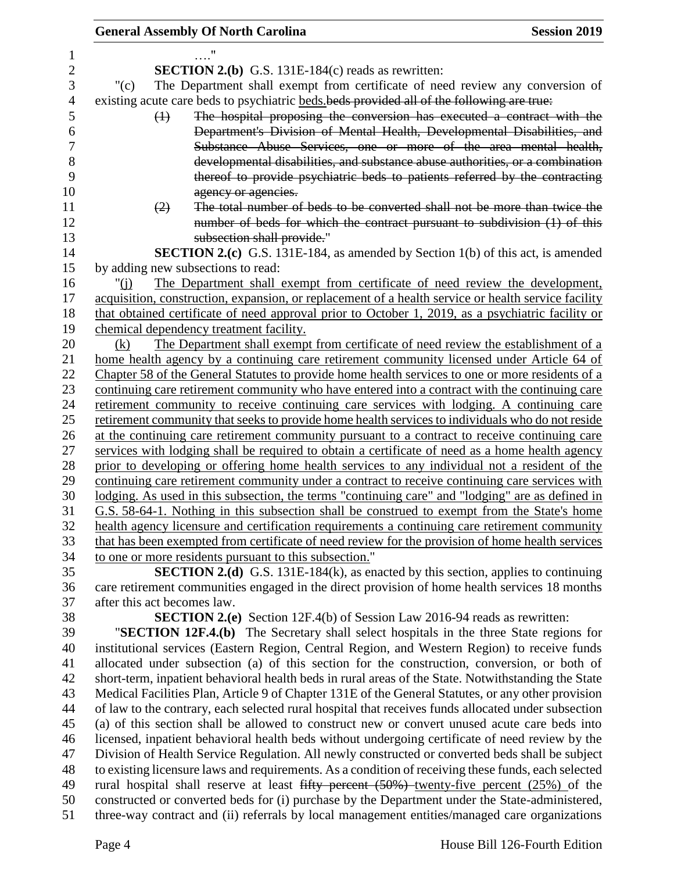## **General Assembly Of North Carolina Session 2019**

| 1              |                                                                                                     |
|----------------|-----------------------------------------------------------------------------------------------------|
| $\overline{c}$ | <b>SECTION 2.(b)</b> G.S. 131E-184(c) reads as rewritten:                                           |
| 3              | The Department shall exempt from certificate of need review any conversion of<br>" $(c)$            |
| $\overline{4}$ | existing acute care beds to psychiatric beds beds provided all of the following are true:           |
| 5              | The hospital proposing the conversion has executed a contract with the<br>$\leftrightarrow$         |
| 6              | Department's Division of Mental Health, Developmental Disabilities, and                             |
| 7              | Substance Abuse Services, one or more of the area mental health,                                    |
| 8              | developmental disabilities, and substance abuse authorities, or a combination                       |
| 9              | thereof to provide psychiatric beds to patients referred by the contracting                         |
| 10             | agency or agencies.                                                                                 |
| 11             | The total number of beds to be converted shall not be more than twice the<br>(2)                    |
| 12             | number of beds for which the contract pursuant to subdivision (1) of this                           |
| 13             | subsection shall provide."                                                                          |
| 14             | <b>SECTION 2.(c)</b> G.S. 131E-184, as amended by Section 1(b) of this act, is amended              |
| 15             | by adding new subsections to read:                                                                  |
| 16             | The Department shall exempt from certificate of need review the development,<br>" $(i)$             |
| 17             | acquisition, construction, expansion, or replacement of a health service or health service facility |
| 18             | that obtained certificate of need approval prior to October 1, 2019, as a psychiatric facility or   |
| 19             | chemical dependency treatment facility.                                                             |
| 20             | The Department shall exempt from certificate of need review the establishment of a<br>(k)           |
| 21             | home health agency by a continuing care retirement community licensed under Article 64 of           |
| 22             | Chapter 58 of the General Statutes to provide home health services to one or more residents of a    |
| 23             | continuing care retirement community who have entered into a contract with the continuing care      |
| 24             | retirement community to receive continuing care services with lodging. A continuing care            |
| 25             | retirement community that seeks to provide home health services to individuals who do not reside    |
| 26             | at the continuing care retirement community pursuant to a contract to receive continuing care       |
| 27             | services with lodging shall be required to obtain a certificate of need as a home health agency     |
| 28             | prior to developing or offering home health services to any individual not a resident of the        |
| 29             | continuing care retirement community under a contract to receive continuing care services with      |
| 30             | lodging. As used in this subsection, the terms "continuing care" and "lodging" are as defined in    |
| 31             | G.S. 58-64-1. Nothing in this subsection shall be construed to exempt from the State's home         |
| 32             | health agency licensure and certification requirements a continuing care retirement community       |
| 33             | that has been exempted from certificate of need review for the provision of home health services    |
| 34             | to one or more residents pursuant to this subsection."                                              |
| 35             | <b>SECTION 2.(d)</b> G.S. 131E-184(k), as enacted by this section, applies to continuing            |
| 36             | care retirement communities engaged in the direct provision of home health services 18 months       |
| 37             | after this act becomes law.                                                                         |
| 38             | <b>SECTION 2.(e)</b> Section 12F.4(b) of Session Law 2016-94 reads as rewritten:                    |
| 39             | "SECTION 12F.4.(b) The Secretary shall select hospitals in the three State regions for              |
| 40             | institutional services (Eastern Region, Central Region, and Western Region) to receive funds        |
| 41             | allocated under subsection (a) of this section for the construction, conversion, or both of         |
| 42             | short-term, inpatient behavioral health beds in rural areas of the State. Notwithstanding the State |
| 43             | Medical Facilities Plan, Article 9 of Chapter 131E of the General Statutes, or any other provision  |
| 44             | of law to the contrary, each selected rural hospital that receives funds allocated under subsection |
| 45             | (a) of this section shall be allowed to construct new or convert unused acute care beds into        |
| 46             | licensed, inpatient behavioral health beds without undergoing certificate of need review by the     |
| 47             | Division of Health Service Regulation. All newly constructed or converted beds shall be subject     |
| 48             | to existing licensure laws and requirements. As a condition of receiving these funds, each selected |
| 49             | rural hospital shall reserve at least fifty percent $(50\%)$ twenty-five percent $(25\%)$ of the    |
| 50             | constructed or converted beds for (i) purchase by the Department under the State-administered,      |
| 51             | three-way contract and (ii) referrals by local management entities/managed care organizations       |